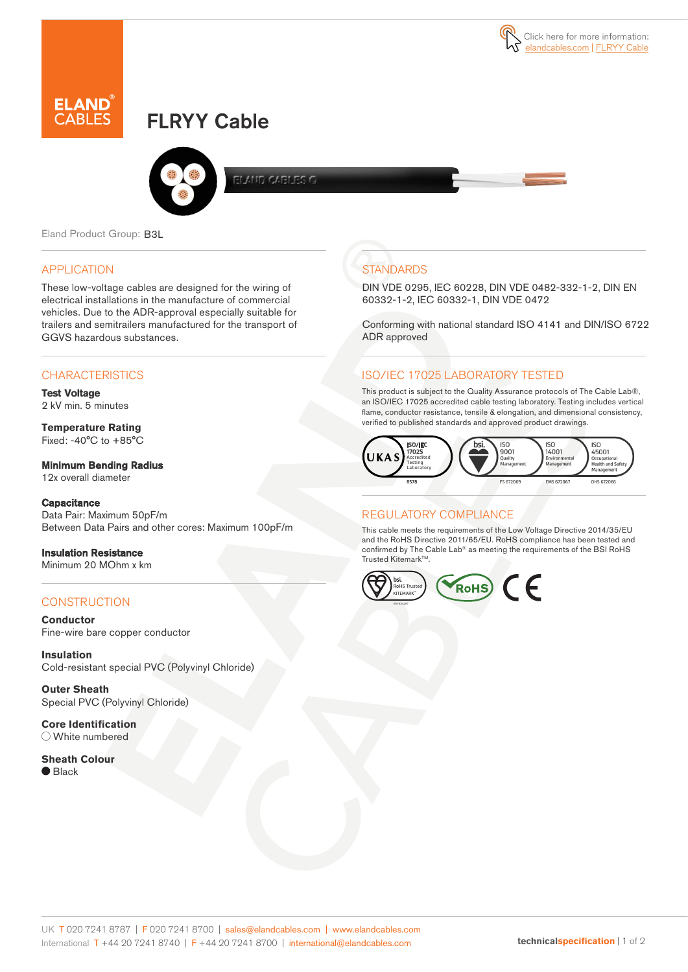# FLRYY Cable



ELAND CABLES G

Eland Product Group: B3L

#### APPLICATION

These low-voltage cables are designed for the wiring of electrical installations in the manufacture of commercial vehicles. Due to the ADR-approval especially suitable for trailers and semitrailers manufactured for the transport of GGVS hazardous substances.

### **CHARACTERISTICS**

**Test Voltage**  2 kV min. 5 minutes

**Temperature Rating**  Fixed: -40°C to +85°C

#### Minimum Bending Radius

12x overall diameter

#### **Capacitance**

Data Pair: Maximum 50pF/m Between Data Pairs and other cores: Maximum 100pF/m

### Insulation Resistance

Minimum 20 MOhm x km

### **CONSTRUCTION**

**Conductor** Fine-wire bare copper conductor

**Insulation** Cold-resistant special PVC (Polyvinyl Chloride)

**Outer Sheath** Special PVC (Polyvinyl Chloride)

**Core Identification** White numbered

**Sheath Colour** ● Black

# **STANDARDS**

DIN VDE 0295, IEC 60228, DIN VDE 0482-332-1-2, DIN EN 60332-1-2, IEC 60332-1, DIN VDE 0472

Conforming with national standard ISO 4141 and DIN/ISO 6722 ADR approved

#### ISO/IEC 17025 LABORATORY TESTED

This product is subject to the Quality Assurance protocols of The Cable Lab®, an ISO/IEC 17025 accredited cable testing laboratory. Testing includes vertical flame, conductor resistance, tensile & elongation, and dimensional consistency, verified to published standards and approved product drawings.



### REGULATORY COMPLIANCE

This cable meets the requirements of the Low Voltage Directive 2014/35/EU and the RoHS Directive 2011/65/EU. RoHS compliance has been tested and confirmed by The Cable Lab® as meeting the requirements of the BSI RoHS Trusted Kitemark™.